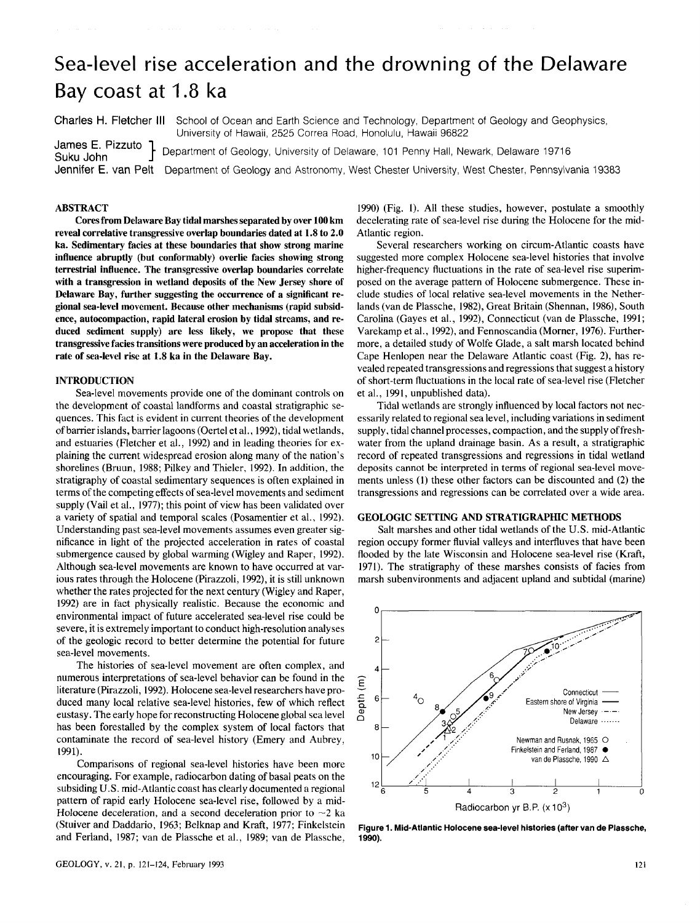# Sea-level rise acceleration and the drowning of the Delaware Bay coast at 1.8 ka

Charles H. Fletcher III School of Ocean and Earth Science and Technology, Department of Geology and Geophysics,

University of Hawaii, 2525 Correa Road, Honolulu, Hawaii 96822 James E. Pizzuto ] Department of Geology, University of Delaware, 101 Penny Hall, Newark, Delaware 19716

Jennifer E. van Pelt Department of Geology and Astronomy, West Chester University, West Chester, Pennsylvania 19383

## **ABSTRACT**

**Cores from Delaware Bay tidal marshes separated by over 100 km reveal correlative transgressive overlap boundaries dated at 1.8 to 2.0 ka. Sedimentary facies at these boundaries that show strong marine influence abruptly (but conformably) overlie facies showing strong terrestrial influence. The transgressive overlap boundaries correlate with a transgression in wetland deposits of the New Jersey shore of Delaware Bay, further suggesting the occurrence of a significant regional sea-level movement. Because other mechanisms (rapid subsidence, autocompaction, rapid lateral erosion by tidal streams, and reduced sediment supply) are less likely, we propose that these transgressive facies transitions were produced by an acceleration in the rate of sea-level rise at 1.8 ka in the Delaware Bay.** 

## **INTRODUCTION**

Sea-level movements provide one of the dominant controls on the development of coastal landforms and coastal stratigraphic sequences. This fact is evident in current theories of the development of barrier islands, barrier lagoons (Oertel et al., 1992), tidal wetlands, and estuaries (Fletcher et al., 1992) and in leading theories for explaining the current widespread erosion along many of the nation's shorelines (Bruun, 1988; Pilkey and Thieler, 1992). In addition, the stratigraphy of coastal sedimentary sequences is often explained in terms of the competing effects of sea-level movements and sediment supply (Vail et al., 1977); this point of view has been validated over a variety of spatial and temporal scales (Posamentier et al., 1992). Understanding past sea-level movements assumes even greater significance in light of the projected acceleration in rates of coastal submergence caused by global warming (Wigley and Raper, 1992). Although sea-level movements are known to have occurred at various rates through the Holocene (Pirazzoli, 1992), it is still unknown whether the rates projected for the next century (Wigley and Raper, 1992) are in fact physically realistic. Because the economic and environmental impact of future accelerated sea-level rise could be severe, it is extremely important to conduct high-resolution analyses of the geologic record to better determine the potential for future sea-level movements.

The histories of sea-level movement are often complex, and numerous interpretations of sea-level behavior can be found in the literature (Pirazzoli, 1992). Holocene sea-level researchers have produced many local relative sea-level histories, few of which reflect eustasy. The early hope for reconstructing Holocene global sea level has been forestalled by the complex system of local factors that contaminate the record of sea-level history (Emery and Aubrey, 1991).

Comparisons of regional sea-level histories have been more encouraging. For example, radiocarbon dating of basal peats on the subsiding U.S. mid-Atlantic coast has clearly documented a regional pattern of rapid early Holocene sea-level rise, followed by a mid-Holocene deceleration, and a second deceleration prior to  $\sim$ 2 ka (Stuiver and Daddario, 1963; Belknap and Kraft, 1977; Finkelstein and Ferland, 1987; van de Plassche et al., 1989; van de Plassche,

1990) (Fig. 1). All these studies, however, postulate a smoothly decelerating rate of sea-level rise during the Holocene for the mid-Atlantic region.

Several researchers working on circum-Atlantic coasts have suggested more complex Holocene sea-level histories that involve higher-frequency fluctuations in the rate of sea-level rise superimposed on the average pattern of Holocene submergence. These include studies of local relative sea-level movements in the Netherlands (van de Plassche, 1982), Great Britain (Shennan, 1986), South Carolina (Gayes et al., 1992), Connecticut (van de Plassche, 1991; Varekamp et al., 1992), and Fennoscandia (Morner, 1976). Furthermore, a detailed study of Wolfe Glade, a salt marsh located behind Cape Henlopen near the Delaware Atlantic coast (Fig. 2), has revealed repeated transgressions and regressions that suggest a history of short-term fluctuations in the local rate of sea-level rise (Fletcher et al., 1991, unpublished data).

Tidal wetlands are strongly influenced by local factors not necessarily related to regional sea level, including variations in sediment supply, tidal channel processes, compaction, and the supply of freshwater from the upland drainage basin. As a result, a stratigraphic record of repeated transgressions and regressions in tidal wetland deposits cannot be interpreted in terms of regional sea-level movements unless (1) these other factors can be discounted and (2) the transgressions and regressions can be correlated over a wide area.

#### **GEOLOGIC SETTING AND STRATIGRAPHIC METHODS**

Salt marshes and other tidal wetlands of the U.S. mid-Atlantic region occupy former fluvial valleys and interfluves that have been flooded by the late Wisconsin and Holocene sea-level rise (Kraft, 1971). The stratigraphy of these marshes consists of facies from marsh subenvironments and adjacent upland and subtidal (marine)



**Figure 1. Mid-Atlantic Holocene sea-level histories (after van de Plassche, 1990).**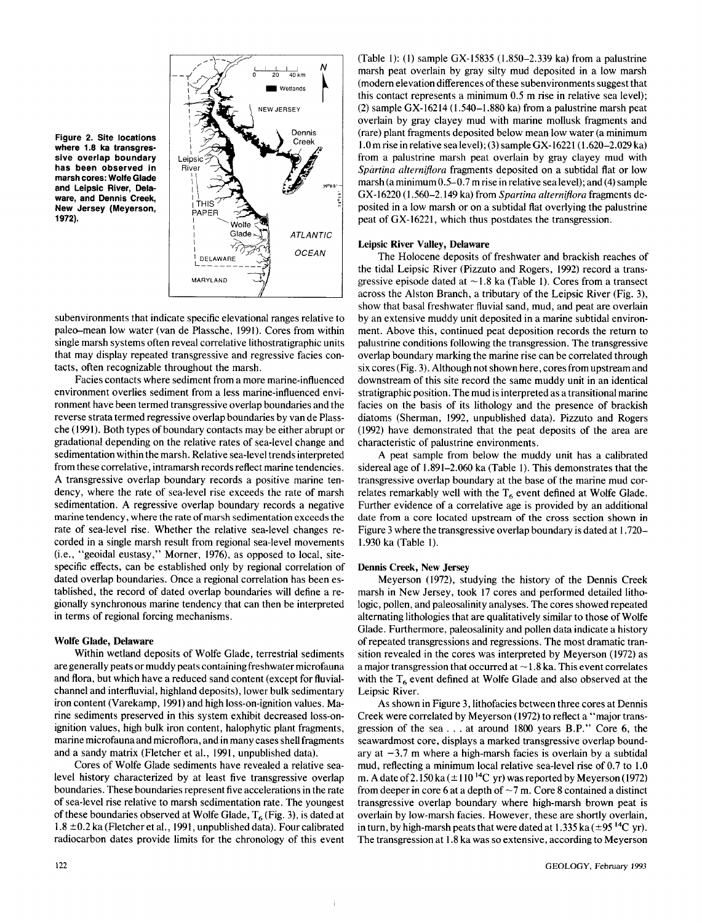



subenvironments that indicate specific elevational ranges relative to paleo-mean low water (van de Plassche, 1991). Cores from within single marsh systems often reveal correlative lithostratigraphic units that may display repeated transgressive and regressive facies contacts, often recognizable throughout the marsh.

Facies contacts where sediment from a more marine-influenced environment overlies sediment from a less marine-influenced environment have been termed transgressive overlap boundaries and the reverse strata termed regressive overlap boundaries by van de Plassche (1991). Both types of boundary contacts may be either abrupt or gradational depending on the relative rates of sea-level change and sedimentation within the marsh. Relative sea-level trends interpreted from these correlative, intramarsh records reflect marine tendencies. A transgressive overlap boundary records a positive marine tendency, where the rate of sea-level rise exceeds the rate of marsh sedimentation. A regressive overlap boundary records a negative marine tendency, where the rate of marsh sedimentation exceeds the rate of sea-level rise. Whether the relative sea-level changes recorded in a single marsh result from regional sea-level movements (i.e., "geoidal eustasy," Morner, 1976), as opposed to local, sitespecific effects, can be established only by regional correlation of dated overlap boundaries. Once a regional correlation has been established, the record of dated overlap boundaries will define a regionally synchronous marine tendency that can then be interpreted in terms of regional forcing mechanisms.

#### **Wolfe Glade, Delaware**

Within wetland deposits of Wolfe Glade, terrestrial sediments are generally peats or muddy peats containing freshwater microfauna and flora, but which have a reduced sand content (except for fluvialchannel and interfluvial, highland deposits), lower bulk sedimentary iron content (Varekamp, 1991) and high loss-on-ignition values. Marine sediments preserved in this system exhibit decreased loss-onignition values, high bulk iron content, halophytic plant fragments, marine microfauna and microflora, and in many cases shell fragments and a sandy matrix (Fletcher et al., 1991, unpublished data).

Cores of Wolfe Glade sediments have revealed a relative sealevel history characterized by at least five transgressive overlap boundaries. These boundaries represent five accelerations in the rate of sea-level rise relative to marsh sedimentation rate. The youngest of these boundaries observed at Wolfe Glade,  $T_6$  (Fig. 3), is dated at  $1.8 \pm 0.2$  ka (Fletcher et al., 1991, unpublished data). Four calibrated radiocarbon dates provide limits for the chronology of this event

(Table 1): (1) sample GX-15835 (1.850-2.339 ka) from a palustrine marsh peat overlain by gray silty mud deposited in a low marsh (modern elevation differences of these subenvironments suggest that this contact represents a minimum 0.5 m rise in relative sea level); (2) sample GX-16214 (1.540-1.880 ka) from a palustrine marsh peat overlain by gray clayey mud with marine mollusk fragments and (rare) plant fragments deposited below mean low water (a minimum 1.0 m rise in relative sea level); (3) sample GX-16221 (1.620-2.029 ka) from a palustrine marsh peat overlain by gray clayey mud with *Spartina altemiflora* fragments deposited on a subtidal flat or low marsh (a minimum 0.5-0.7 m rise in relative sea level); and (4) sample GX-16220 (1.560-2.149 ka) from *Spartina altemiflora* fragments deposited in a low marsh or on a subtidal flat overlying the palustrine peat of GX-16221, which thus postdates the transgression.

#### **Leipsic River Valley, Delaware**

The Holocene deposits of freshwater and brackish reaches of the tidal Leipsic River (Pizzuto and Rogers, 1992) record a transgressive episode dated at  $\sim$  1.8 ka (Table 1). Cores from a transect across the Alston Branch, a tributary of the Leipsic River (Fig. 3), show that basal freshwater fluvial sand, mud, and peat are overlain by an extensive muddy unit deposited in a marine subtidal environment. Above this, continued peat deposition records the return to palustrine conditions following the transgression. The transgressive overlap boundary marking the marine rise can be correlated through six cores (Fig. 3). Although not shown here, cores from upstream and downstream of this site record the same muddy unit in an identical stratigraphic position. The mud is interpreted as a transitional marine facies on the basis of its lithology and the presence of brackish diatoms (Sherman, 1992, unpublished data). Pizzuto and Rogers (1992) have demonstrated that the peat deposits of the area are characteristic of palustrine environments.

A peat sample from below the muddy unit has a calibrated sidereal age of 1.891-2.060 ka (Table 1). This demonstrates that the transgressive overlap boundary at the base of the marine mud correlates remarkably well with the  $T_6$  event defined at Wolfe Glade. Further evidence of a correlative age is provided by an additional date from a core located upstream of the cross section shown in Figure 3 where the transgressive overlap boundary is dated at 1.720— 1.930 ka (Table 1).

### **Dennis Creek, New Jersey**

Meyerson (1972), studying the history of the Dennis Creek marsh in New Jersey, took 17 cores and performed detailed lithologic, pollen, and paleosalinity analyses. The cores showed repeated alternating lithologies that are qualitatively similar to those of Wolfe Glade. Furthermore, paleosalinity and pollen data indicate a history of repeated transgressions and regressions. The most dramatic transition revealed in the cores was interpreted by Meyerson (1972) as a major transgression that occurred at  $\sim$  1.8 ka. This event correlates with the  $T<sub>6</sub>$  event defined at Wolfe Glade and also observed at the Leipsic River.

As shown in Figure 3, lithofacies between three cores at Dennis Creek were correlated by Meyerson (1972) to reflect a "major transgression of the sea  $\dots$  at around 1800 years B.P." Core 6, the seawardmost core, displays a marked transgressive overlap boundary at  $-3.7$  m where a high-marsh facies is overlain by a subtidal mud, reflecting a minimum local relative sea-level rise of 0.7 to 1.0 m. A date of 2.150 ka ( $\pm$ 110<sup>14</sup>C yr) was reported by Meyerson (1972) from deeper in core 6 at a depth of  $\sim$  7 m. Core 8 contained a distinct transgressive overlap boundary where high-marsh brown peat is overlain by low-marsh facies. However, these are shortly overlain, in turn, by high-marsh peats that were dated at 1.335 ka  $(\pm 95^{14}C)$  vr). The transgression at 1.8 ka was so extensive, according to Meyerson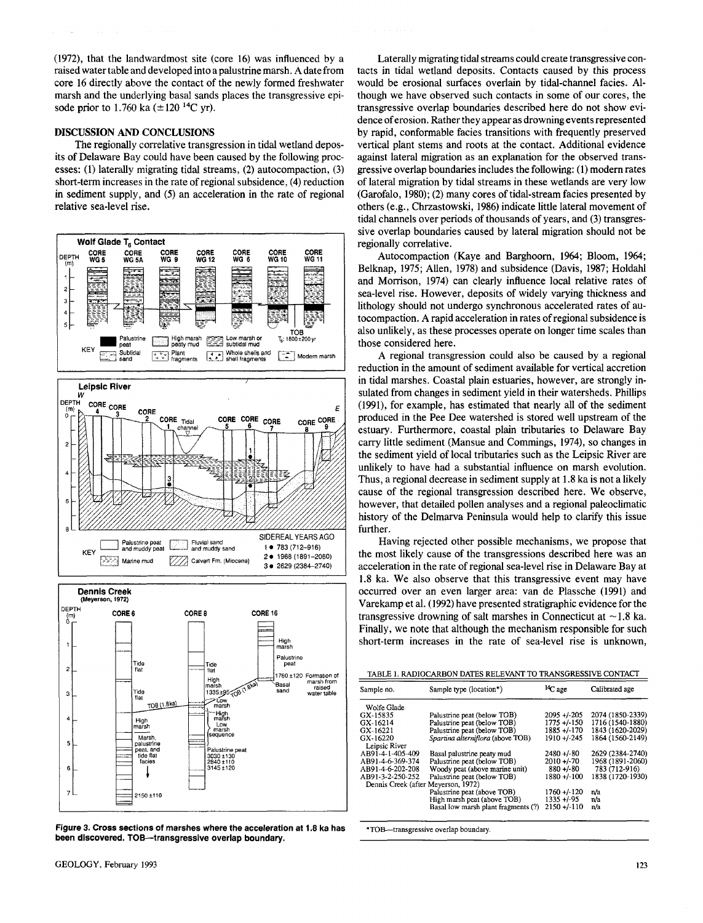(1972), that the landwardmost site (core 16) was influenced by a raised water table and developed into a palustrine marsh. A date from core 16 directly above the contact of the newly formed freshwater marsh and the underlying basal sands places the transgressive episode prior to 1.760 ka  $(\pm 120^{14}C \text{ yr})$ .

#### **DISCUSSION AND CONCLUSIONS**

The regionally correlative transgression in tidal wetland deposits of Delaware Bay could have been caused by the following processes: (1) laterally migrating tidal streams, (2) autocompaction, (3) short-term increases in the rate of regional subsidence, (4) reduction in sediment supply, and (5) an acceleration in the rate of regional relative sea-level rise.



tidal channels over periods of thousands of years, and (3) transgressive overlap boundaries caused by lateral migration should not be regionally correlative. Autocompaction (Kaye and Barghoorn, 1964; Bloom, 1964; Belknap, 1975; Allen, 1978) and subsidence (Davis, 1987; Holdahl and Morrison, 1974) can clearly influence local relative rates of sea-level rise. However, deposits of widely varying thickness and lithology should not undergo synchronous accelerated rates of autocompaction. A rapid acceleration in rates of regional subsidence is also unlikely, as these processes operate on longer time scales than those considered here. A regional transgression could also be caused by a regional reduction in the amount of sediment available for vertical accretion

in tidal marshes. Coastal plain estuaries, however, are strongly insulated from changes in sediment yield in their watersheds. Phillips (1991), for example, has estimated that nearly all of the sediment produced in the Pee Dee watershed is stored well upstream of the estuary. Furthermore, coastal plain tributaries to Delaware Bay carry little sediment (Mansue and Commings, 1974), so changes in the sediment yield of local tributaries such as the Leipsic River are unlikely to have had a substantial influence on marsh evolution. Thus, a regional decrease in sediment supply at 1.8 ka is not a likely cause of the regional transgression described here. We observe, however, that detailed pollen analyses and a regional paleoclimatic history of the Delmarva Peninsula would help to clarify this issue further.

Laterally migrating tidal streams could create transgressive contacts in tidal wetland deposits. Contacts caused by this process would be erosional surfaces overlain by tidal-channel facies. Although we have observed such contacts in some of our cores, the transgressive overlap boundaries described here do not show evidence of erosion. Rather they appear as drowning events represented by rapid, conformable facies transitions with frequently preserved vertical plant stems and roots at the contact. Additional evidence against lateral migration as an explanation for the observed transgressive overlap boundaries includes the following: (1) modern rates of lateral migration by tidal streams in these wetlands are very low (Garofalo, 1980); (2) many cores of tidal-stream facies presented by others (e.g., Chrzastowski, 1986) indicate little lateral movement of

Having rejected other possible mechanisms, we propose that the most likely cause of the transgressions described here was an acceleration in the rate of regional sea-level rise in Delaware Bay at 1.8 ka. We also observe that this transgressive event may have occurred over an even larger area: van de Plassche (1991) and Varekamp et al. (1992) have presented stratigraphic evidence for the transgressive drowning of salt marshes in Connecticut at  $\sim$  1.8 ka. Finally, we note that although the mechanism responsible for such short-term increases in the rate of sea-level rise is unknown,

| TABLE 1. RADIOCARBON DATES RELEVANT TO TRANSGRESSIVE CONTACT |
|--------------------------------------------------------------|
|                                                              |

| Sample no.                          | Sample type (location*)             | $^{14}$ C age   | Calibrated age   |
|-------------------------------------|-------------------------------------|-----------------|------------------|
| Wolfe Glade                         |                                     |                 |                  |
| GX-15835                            | Palustrine peat (below TOB)         | $2095 + 205$    | 2074 (1850-2339) |
| GX-16214                            | Palustrine peat (below TOB)         | 1775 +/-150     | 1716 (1540-1880) |
| GX-16221                            | Palustrine peat (below TOB)         | $1885 + (-170$  | 1843 (1620-2029) |
| GX-16220                            | Spartina alterniflora (above TOB)   | $1910 + 245$    | 1864 (1560-2149) |
| Leipsic River                       |                                     |                 |                  |
| AB91-4-1-405-409                    | Basal palustrine peaty mud          | $2480 + 80$     | 2629 (2384-2740) |
| AB91-4-6-369-374                    | Palustrine peat (below TOB)         | $2010 + 70$     | 1968 (1891-2060) |
| AB91-4-6-202-208                    | Woody peat (above marine unit)      | $880 + (-80)$   | 783 (712-916)    |
| AB91-3-2-250-252                    | Palustrine peat (below TOB)         | $1880 + (-100)$ | 1838 (1720-1930) |
| Dennis Creek (after Meyerson, 1972) |                                     |                 |                  |
|                                     | Palustrine peat (above TOB)         | $1760 + (-120$  | n/a              |
|                                     | High marsh peat (above TOB)         | $1335 + 495$    | n/a              |
|                                     | Basal low marsh plant fragments (?) | $2150 + (-110)$ | n/a              |

**\*TOB—transgressive overlap boundary.** 

**Figure 3. Cross sections of marshes where the acceleration at 1.8 ka has been discovered. TOB—transgressive overlap boundary.** 

TOB (1.8ka)

High<br>narsh Marsh,<br>palustrine

tide flat<br>facies

T

2150 ±110

⊃Low<br>marsh

-High<br>marsh

alustrine

 $\begin{array}{c} 2000 + 130 \\ 2840 \pm 110 \\ 3145 \pm 120 \end{array}$ 

 $\overline{4}$ 

 $\overline{5}$ 

 $\ddot{\mathbf{6}}$ 

 $\mathcal{L}$